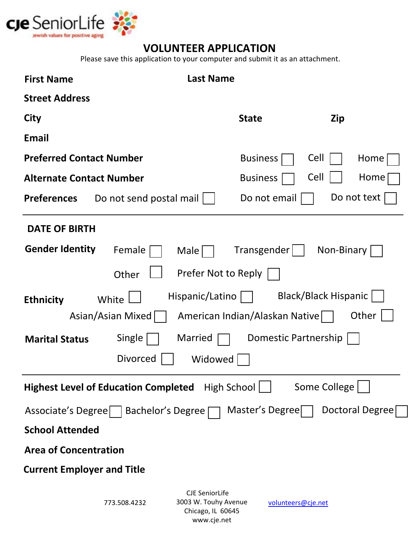

## **VOLUNTEER APPLICATION**

Please save this application to your computer and submit it as an attachment.

| <b>First Name</b>                                                                                                                                                                                                                               |                                                        | <b>Last Name</b>                                                   |                    |                 |  |  |  |  |  |
|-------------------------------------------------------------------------------------------------------------------------------------------------------------------------------------------------------------------------------------------------|--------------------------------------------------------|--------------------------------------------------------------------|--------------------|-----------------|--|--|--|--|--|
| <b>Street Address</b>                                                                                                                                                                                                                           |                                                        |                                                                    |                    |                 |  |  |  |  |  |
| City                                                                                                                                                                                                                                            |                                                        | <b>State</b>                                                       |                    | Zip             |  |  |  |  |  |
| <b>Email</b>                                                                                                                                                                                                                                    |                                                        |                                                                    |                    |                 |  |  |  |  |  |
| <b>Preferred Contact Number</b>                                                                                                                                                                                                                 |                                                        | <b>Business</b>                                                    | Cell               | Home            |  |  |  |  |  |
| <b>Alternate Contact Number</b>                                                                                                                                                                                                                 |                                                        | <b>Business</b>                                                    | Cell               | Home            |  |  |  |  |  |
| <b>Preferences</b>                                                                                                                                                                                                                              | Do not text<br>Do not email<br>Do not send postal mail |                                                                    |                    |                 |  |  |  |  |  |
| <b>DATE OF BIRTH</b>                                                                                                                                                                                                                            |                                                        |                                                                    |                    |                 |  |  |  |  |  |
| <b>Gender Identity</b>                                                                                                                                                                                                                          | Female                                                 | Male                                                               | Transgender        | Non-Binary      |  |  |  |  |  |
|                                                                                                                                                                                                                                                 | Other                                                  | Prefer Not to Reply                                                |                    |                 |  |  |  |  |  |
| <b>Black/Black Hispanic</b><br>Hispanic/Latino<br>White<br><b>Ethnicity</b><br>Other<br>Asian/Asian Mixed<br>American Indian/Alaskan Native<br>Single<br>Married<br>Domestic Partnership<br><b>Marital Status</b><br><b>Divorced</b><br>Widowed |                                                        |                                                                    |                    |                 |  |  |  |  |  |
|                                                                                                                                                                                                                                                 | <b>Highest Level of Education Completed</b>            | High School                                                        |                    | Some College    |  |  |  |  |  |
| Associate's Degree                                                                                                                                                                                                                              | Bachelor's Degree [                                    |                                                                    | Master's Degree    | Doctoral Degree |  |  |  |  |  |
| <b>School Attended</b>                                                                                                                                                                                                                          |                                                        |                                                                    |                    |                 |  |  |  |  |  |
| <b>Area of Concentration</b>                                                                                                                                                                                                                    |                                                        |                                                                    |                    |                 |  |  |  |  |  |
| <b>Current Employer and Title</b>                                                                                                                                                                                                               |                                                        |                                                                    |                    |                 |  |  |  |  |  |
|                                                                                                                                                                                                                                                 | 773.508.4232                                           | <b>CJE SeniorLife</b><br>3003 W. Touhy Avenue<br>Chicago, IL 60645 | volunteers@cje.net |                 |  |  |  |  |  |

www.cje.net